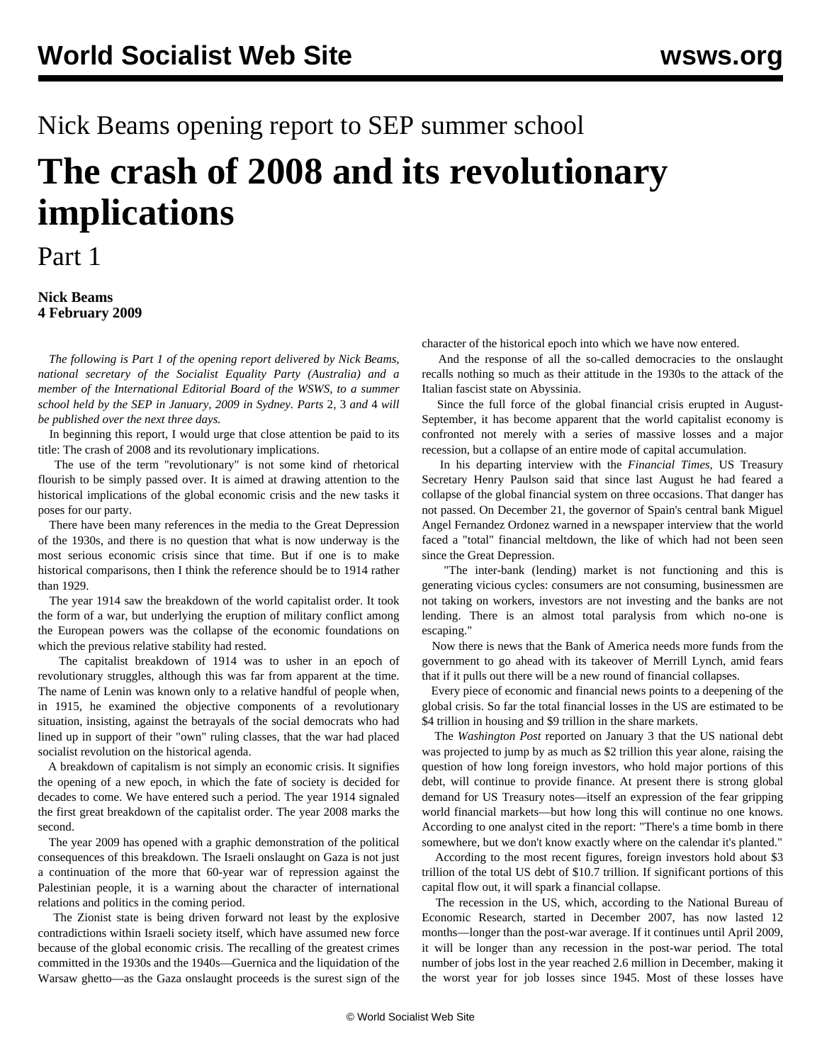## Nick Beams opening report to SEP summer school **The crash of 2008 and its revolutionary implications**

## Part 1

## **Nick Beams 4 February 2009**

 *The following is Part 1 of the opening report delivered by Nick Beams, national secretary of the Socialist Equality Party (Australia) and a member of the International Editorial Board of the WSWS, to a summer school held by the SEP in January, 2009 in Sydney. Parts* [2](/en/articles/2009/feb2009/nbe2-f05.shtml)*,* [3](/en/articles/2009/feb2009/nbe3-f06.shtml) *and* [4](/en/articles/2009/feb2009/nbe4-f07.shtml) *will be published over the next three days.*

 In beginning this report, I would urge that close attention be paid to its title: The crash of 2008 and its revolutionary implications.

 The use of the term "revolutionary" is not some kind of rhetorical flourish to be simply passed over. It is aimed at drawing attention to the historical implications of the global economic crisis and the new tasks it poses for our party.

 There have been many references in the media to the Great Depression of the 1930s, and there is no question that what is now underway is the most serious economic crisis since that time. But if one is to make historical comparisons, then I think the reference should be to 1914 rather than 1929.

 The year 1914 saw the breakdown of the world capitalist order. It took the form of a war, but underlying the eruption of military conflict among the European powers was the collapse of the economic foundations on which the previous relative stability had rested.

 The capitalist breakdown of 1914 was to usher in an epoch of revolutionary struggles, although this was far from apparent at the time. The name of Lenin was known only to a relative handful of people when, in 1915, he examined the objective components of a revolutionary situation, insisting, against the betrayals of the social democrats who had lined up in support of their "own" ruling classes, that the war had placed socialist revolution on the historical agenda.

 A breakdown of capitalism is not simply an economic crisis. It signifies the opening of a new epoch, in which the fate of society is decided for decades to come. We have entered such a period. The year 1914 signaled the first great breakdown of the capitalist order. The year 2008 marks the second.

 The year 2009 has opened with a graphic demonstration of the political consequences of this breakdown. The Israeli onslaught on Gaza is not just a continuation of the more that 60-year war of repression against the Palestinian people, it is a warning about the character of international relations and politics in the coming period.

 The Zionist state is being driven forward not least by the explosive contradictions within Israeli society itself, which have assumed new force because of the global economic crisis. The recalling of the greatest crimes committed in the 1930s and the 1940s—Guernica and the liquidation of the Warsaw ghetto—as the Gaza onslaught proceeds is the surest sign of the

character of the historical epoch into which we have now entered.

 And the response of all the so-called democracies to the onslaught recalls nothing so much as their attitude in the 1930s to the attack of the Italian fascist state on Abyssinia.

 Since the full force of the global financial crisis erupted in August-September, it has become apparent that the world capitalist economy is confronted not merely with a series of massive losses and a major recession, but a collapse of an entire mode of capital accumulation.

 In his departing interview with the *Financial Times,* US Treasury Secretary Henry Paulson said that since last August he had feared a collapse of the global financial system on three occasions. That danger has not passed. On December 21, the governor of Spain's central bank Miguel Angel Fernandez Ordonez warned in a newspaper interview that the world faced a "total" financial meltdown, the like of which had not been seen since the Great Depression.

 "The inter-bank (lending) market is not functioning and this is generating vicious cycles: consumers are not consuming, businessmen are not taking on workers, investors are not investing and the banks are not lending. There is an almost total paralysis from which no-one is escaping."

 Now there is news that the Bank of America needs more funds from the government to go ahead with its takeover of Merrill Lynch, amid fears that if it pulls out there will be a new round of financial collapses.

 Every piece of economic and financial news points to a deepening of the global crisis. So far the total financial losses in the US are estimated to be \$4 trillion in housing and \$9 trillion in the share markets.

 The *Washington Post* reported on January 3 that the US national debt was projected to jump by as much as \$2 trillion this year alone, raising the question of how long foreign investors, who hold major portions of this debt, will continue to provide finance. At present there is strong global demand for US Treasury notes—itself an expression of the fear gripping world financial markets—but how long this will continue no one knows. According to one analyst cited in the report: "There's a time bomb in there somewhere, but we don't know exactly where on the calendar it's planted."

 According to the most recent figures, foreign investors hold about \$3 trillion of the total US debt of \$10.7 trillion. If significant portions of this capital flow out, it will spark a financial collapse.

 The recession in the US, which, according to the National Bureau of Economic Research, started in December 2007, has now lasted 12 months—longer than the post-war average. If it continues until April 2009, it will be longer than any recession in the post-war period. The total number of jobs lost in the year reached 2.6 million in December, making it the worst year for job losses since 1945. Most of these losses have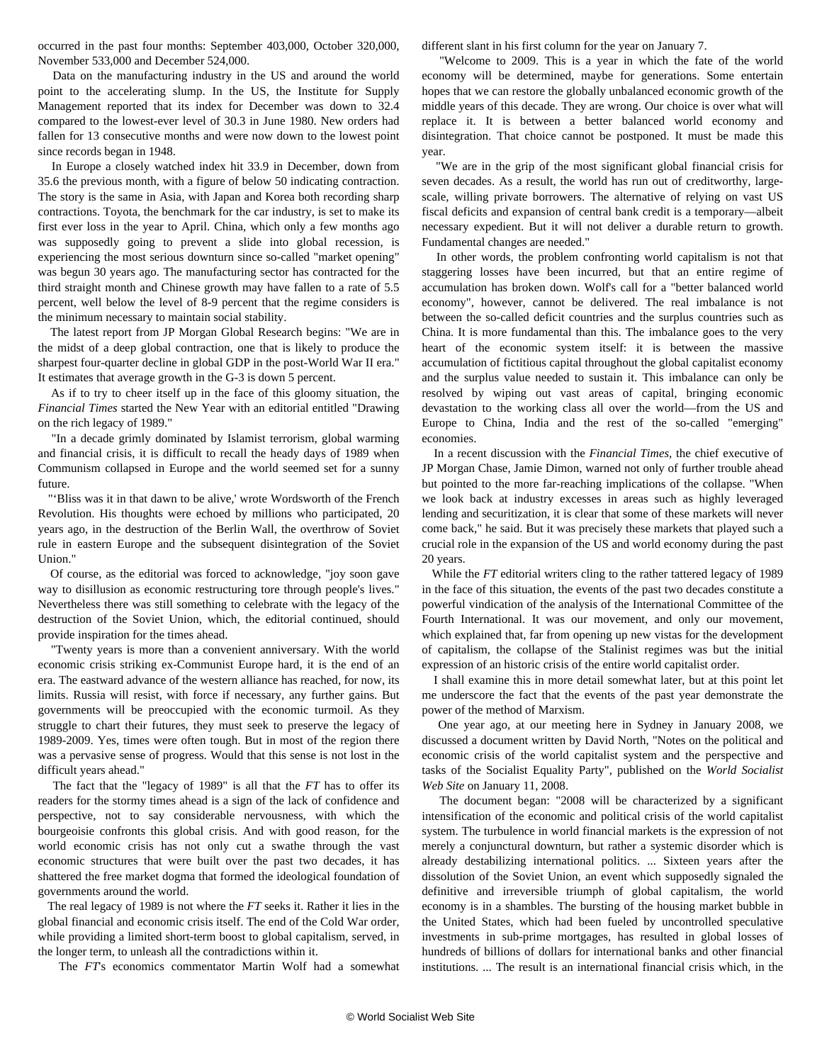occurred in the past four months: September 403,000, October 320,000, November 533,000 and December 524,000.

 Data on the manufacturing industry in the US and around the world point to the accelerating slump. In the US, the Institute for Supply Management reported that its index for December was down to 32.4 compared to the lowest-ever level of 30.3 in June 1980. New orders had fallen for 13 consecutive months and were now down to the lowest point since records began in 1948.

 In Europe a closely watched index hit 33.9 in December, down from 35.6 the previous month, with a figure of below 50 indicating contraction. The story is the same in Asia, with Japan and Korea both recording sharp contractions. Toyota, the benchmark for the car industry, is set to make its first ever loss in the year to April. China, which only a few months ago was supposedly going to prevent a slide into global recession, is experiencing the most serious downturn since so-called "market opening" was begun 30 years ago. The manufacturing sector has contracted for the third straight month and Chinese growth may have fallen to a rate of 5.5 percent, well below the level of 8-9 percent that the regime considers is the minimum necessary to maintain social stability.

 The latest report from JP Morgan Global Research begins: "We are in the midst of a deep global contraction, one that is likely to produce the sharpest four-quarter decline in global GDP in the post-World War II era." It estimates that average growth in the G-3 is down 5 percent.

 As if to try to cheer itself up in the face of this gloomy situation, the *Financial Times* started the New Year with an editorial entitled "Drawing on the rich legacy of 1989."

 "In a decade grimly dominated by Islamist terrorism, global warming and financial crisis, it is difficult to recall the heady days of 1989 when Communism collapsed in Europe and the world seemed set for a sunny future.

 "'Bliss was it in that dawn to be alive,' wrote Wordsworth of the French Revolution. His thoughts were echoed by millions who participated, 20 years ago, in the destruction of the Berlin Wall, the overthrow of Soviet rule in eastern Europe and the subsequent disintegration of the Soviet Union."

 Of course, as the editorial was forced to acknowledge, "joy soon gave way to disillusion as economic restructuring tore through people's lives." Nevertheless there was still something to celebrate with the legacy of the destruction of the Soviet Union, which, the editorial continued, should provide inspiration for the times ahead.

 "Twenty years is more than a convenient anniversary. With the world economic crisis striking ex-Communist Europe hard, it is the end of an era. The eastward advance of the western alliance has reached, for now, its limits. Russia will resist, with force if necessary, any further gains. But governments will be preoccupied with the economic turmoil. As they struggle to chart their futures, they must seek to preserve the legacy of 1989-2009. Yes, times were often tough. But in most of the region there was a pervasive sense of progress. Would that this sense is not lost in the difficult years ahead."

 The fact that the "legacy of 1989" is all that the *FT* has to offer its readers for the stormy times ahead is a sign of the lack of confidence and perspective, not to say considerable nervousness, with which the bourgeoisie confronts this global crisis. And with good reason, for the world economic crisis has not only cut a swathe through the vast economic structures that were built over the past two decades, it has shattered the free market dogma that formed the ideological foundation of governments around the world.

 The real legacy of 1989 is not where the *FT* seeks it. Rather it lies in the global financial and economic crisis itself. The end of the Cold War order, while providing a limited short-term boost to global capitalism, served, in the longer term, to unleash all the contradictions within it.

The *FT*'s economics commentator Martin Wolf had a somewhat

different slant in his first column for the year on January 7.

 "Welcome to 2009. This is a year in which the fate of the world economy will be determined, maybe for generations. Some entertain hopes that we can restore the globally unbalanced economic growth of the middle years of this decade. They are wrong. Our choice is over what will replace it. It is between a better balanced world economy and disintegration. That choice cannot be postponed. It must be made this year.

 "We are in the grip of the most significant global financial crisis for seven decades. As a result, the world has run out of creditworthy, largescale, willing private borrowers. The alternative of relying on vast US fiscal deficits and expansion of central bank credit is a temporary—albeit necessary expedient. But it will not deliver a durable return to growth. Fundamental changes are needed."

 In other words, the problem confronting world capitalism is not that staggering losses have been incurred, but that an entire regime of accumulation has broken down. Wolf's call for a "better balanced world economy", however, cannot be delivered. The real imbalance is not between the so-called deficit countries and the surplus countries such as China. It is more fundamental than this. The imbalance goes to the very heart of the economic system itself: it is between the massive accumulation of fictitious capital throughout the global capitalist economy and the surplus value needed to sustain it. This imbalance can only be resolved by wiping out vast areas of capital, bringing economic devastation to the working class all over the world—from the US and Europe to China, India and the rest of the so-called "emerging" economies.

 In a recent discussion with the *Financial Times,* the chief executive of JP Morgan Chase, Jamie Dimon, warned not only of further trouble ahead but pointed to the more far-reaching implications of the collapse. "When we look back at industry excesses in areas such as highly leveraged lending and securitization, it is clear that some of these markets will never come back," he said. But it was precisely these markets that played such a crucial role in the expansion of the US and world economy during the past 20 years.

 While the *FT* editorial writers cling to the rather tattered legacy of 1989 in the face of this situation, the events of the past two decades constitute a powerful vindication of the analysis of the International Committee of the Fourth International. It was our movement, and only our movement, which explained that, far from opening up new vistas for the development of capitalism, the collapse of the Stalinist regimes was but the initial expression of an historic crisis of the entire world capitalist order.

 I shall examine this in more detail somewhat later, but at this point let me underscore the fact that the events of the past year demonstrate the power of the method of Marxism.

 One year ago, at our meeting here in Sydney in January 2008, we discussed a document written by David North, ["Notes on the political and](/en/articles/2009/jan2009/task-j13.shtml) [economic crisis of the world capitalist system and the perspective and](/en/articles/2009/jan2009/task-j13.shtml) [tasks of the Socialist Equality Party",](/en/articles/2009/jan2009/task-j13.shtml) published on the *World Socialist Web Site* on January 11, 2008.

 The document began: "2008 will be characterized by a significant intensification of the economic and political crisis of the world capitalist system. The turbulence in world financial markets is the expression of not merely a conjunctural downturn, but rather a systemic disorder which is already destabilizing international politics. ... Sixteen years after the dissolution of the Soviet Union, an event which supposedly signaled the definitive and irreversible triumph of global capitalism, the world economy is in a shambles. The bursting of the housing market bubble in the United States, which had been fueled by uncontrolled speculative investments in sub-prime mortgages, has resulted in global losses of hundreds of billions of dollars for international banks and other financial institutions. ... The result is an international financial crisis which, in the